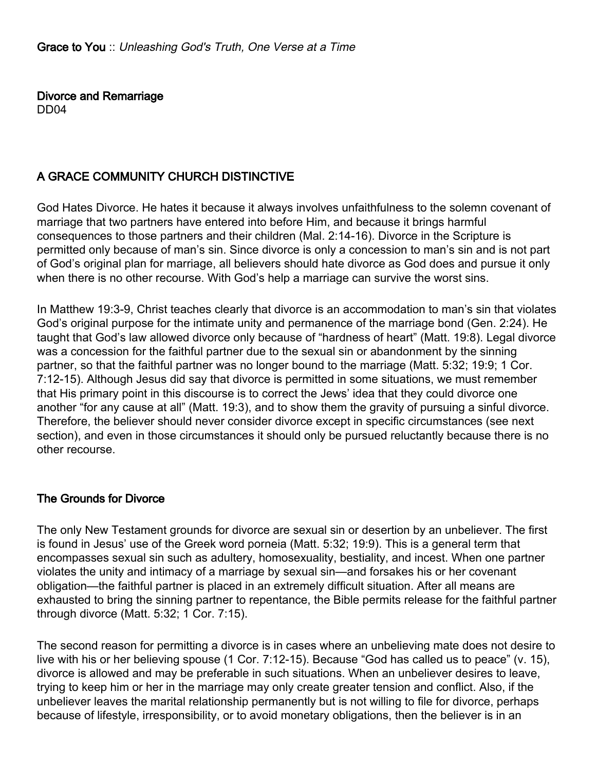Divorce and Remarriage DD04

## A GRACE COMMUNITY CHURCH DISTINCTIVE

God Hates Divorce. He hates it because it always involves unfaithfulness to the solemn covenant of marriage that two partners have entered into before Him, and because it brings harmful consequences to those partners and their children (Mal. 2:14-16). Divorce in the Scripture is permitted only because of man's sin. Since divorce is only a concession to man's sin and is not part of God's original plan for marriage, all believers should hate divorce as God does and pursue it only when there is no other recourse. With God's help a marriage can survive the worst sins.

In Matthew 19:3-9, Christ teaches clearly that divorce is an accommodation to man's sin that violates God's original purpose for the intimate unity and permanence of the marriage bond (Gen. 2:24). He taught that God's law allowed divorce only because of "hardness of heart" (Matt. 19:8). Legal divorce was a concession for the faithful partner due to the sexual sin or abandonment by the sinning partner, so that the faithful partner was no longer bound to the marriage (Matt. 5:32; 19:9; 1 Cor. 7:12-15). Although Jesus did say that divorce is permitted in some situations, we must remember that His primary point in this discourse is to correct the Jews' idea that they could divorce one another "for any cause at all" (Matt. 19:3), and to show them the gravity of pursuing a sinful divorce. Therefore, the believer should never consider divorce except in specific circumstances (see next section), and even in those circumstances it should only be pursued reluctantly because there is no other recourse.

## The Grounds for Divorce

The only New Testament grounds for divorce are sexual sin or desertion by an unbeliever. The first is found in Jesus' use of the Greek word porneia (Matt. 5:32; 19:9). This is a general term that encompasses sexual sin such as adultery, homosexuality, bestiality, and incest. When one partner violates the unity and intimacy of a marriage by sexual sin—and forsakes his or her covenant obligation—the faithful partner is placed in an extremely difficult situation. After all means are exhausted to bring the sinning partner to repentance, the Bible permits release for the faithful partner through divorce (Matt. 5:32; 1 Cor. 7:15).

The second reason for permitting a divorce is in cases where an unbelieving mate does not desire to live with his or her believing spouse (1 Cor. 7:12-15). Because "God has called us to peace" (v. 15), divorce is allowed and may be preferable in such situations. When an unbeliever desires to leave, trying to keep him or her in the marriage may only create greater tension and conflict. Also, if the unbeliever leaves the marital relationship permanently but is not willing to file for divorce, perhaps because of lifestyle, irresponsibility, or to avoid monetary obligations, then the believer is in an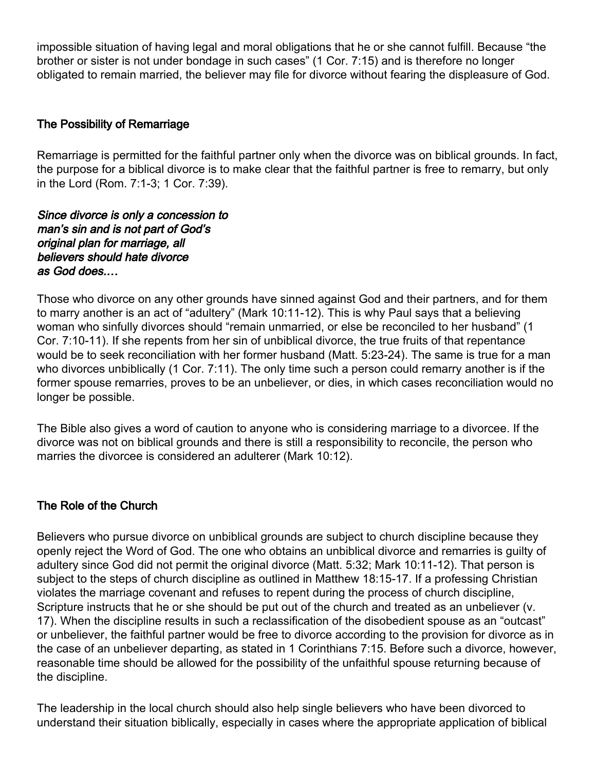impossible situation of having legal and moral obligations that he or she cannot fulfill. Because "the brother or sister is not under bondage in such cases" (1 Cor. 7:15) and is therefore no longer obligated to remain married, the believer may file for divorce without fearing the displeasure of God.

## The Possibility of Remarriage

Remarriage is permitted for the faithful partner only when the divorce was on biblical grounds. In fact, the purpose for a biblical divorce is to make clear that the faithful partner is free to remarry, but only in the Lord (Rom. 7:1-3; 1 Cor. 7:39).

#### Since divorce is only a concession to man's sin and is not part of God's original plan for marriage, all believers should hate divorce as God does.…

Those who divorce on any other grounds have sinned against God and their partners, and for them to marry another is an act of "adultery" (Mark 10:11-12). This is why Paul says that a believing woman who sinfully divorces should "remain unmarried, or else be reconciled to her husband" (1 Cor. 7:10-11). If she repents from her sin of unbiblical divorce, the true fruits of that repentance would be to seek reconciliation with her former husband (Matt. 5:23-24). The same is true for a man who divorces unbiblically (1 Cor. 7:11). The only time such a person could remarry another is if the former spouse remarries, proves to be an unbeliever, or dies, in which cases reconciliation would no longer be possible.

The Bible also gives a word of caution to anyone who is considering marriage to a divorcee. If the divorce was not on biblical grounds and there is still a responsibility to reconcile, the person who marries the divorcee is considered an adulterer (Mark 10:12).

# The Role of the Church

Believers who pursue divorce on unbiblical grounds are subject to church discipline because they openly reject the Word of God. The one who obtains an unbiblical divorce and remarries is guilty of adultery since God did not permit the original divorce (Matt. 5:32; Mark 10:11-12). That person is subject to the steps of church discipline as outlined in Matthew 18:15-17. If a professing Christian violates the marriage covenant and refuses to repent during the process of church discipline, Scripture instructs that he or she should be put out of the church and treated as an unbeliever (v. 17). When the discipline results in such a reclassification of the disobedient spouse as an "outcast" or unbeliever, the faithful partner would be free to divorce according to the provision for divorce as in the case of an unbeliever departing, as stated in 1 Corinthians 7:15. Before such a divorce, however, reasonable time should be allowed for the possibility of the unfaithful spouse returning because of the discipline.

The leadership in the local church should also help single believers who have been divorced to understand their situation biblically, especially in cases where the appropriate application of biblical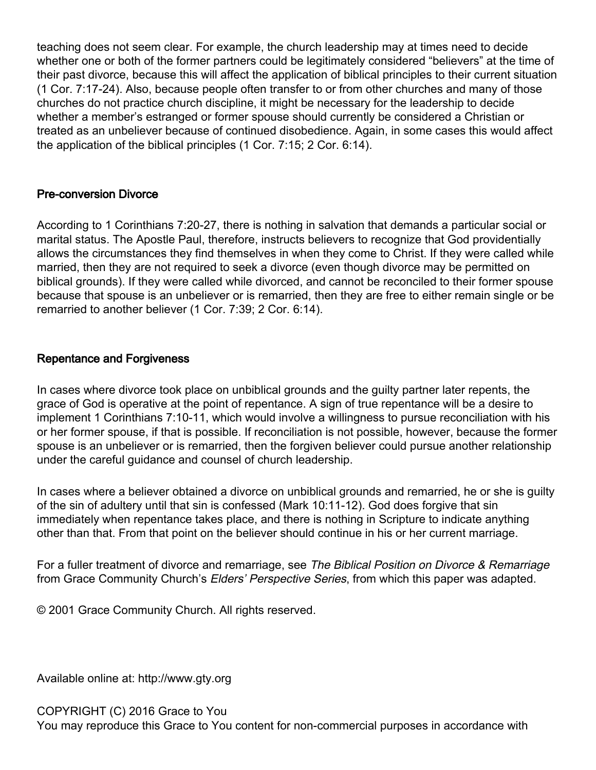teaching does not seem clear. For example, the church leadership may at times need to decide whether one or both of the former partners could be legitimately considered "believers" at the time of their past divorce, because this will affect the application of biblical principles to their current situation (1 Cor. 7:17-24). Also, because people often transfer to or from other churches and many of those churches do not practice church discipline, it might be necessary for the leadership to decide whether a member's estranged or former spouse should currently be considered a Christian or treated as an unbeliever because of continued disobedience. Again, in some cases this would affect the application of the biblical principles (1 Cor. 7:15; 2 Cor. 6:14).

## Pre-conversion Divorce

According to 1 Corinthians 7:20-27, there is nothing in salvation that demands a particular social or marital status. The Apostle Paul, therefore, instructs believers to recognize that God providentially allows the circumstances they find themselves in when they come to Christ. If they were called while married, then they are not required to seek a divorce (even though divorce may be permitted on biblical grounds). If they were called while divorced, and cannot be reconciled to their former spouse because that spouse is an unbeliever or is remarried, then they are free to either remain single or be remarried to another believer (1 Cor. 7:39; 2 Cor. 6:14).

## Repentance and Forgiveness

In cases where divorce took place on unbiblical grounds and the guilty partner later repents, the grace of God is operative at the point of repentance. A sign of true repentance will be a desire to implement 1 Corinthians 7:10-11, which would involve a willingness to pursue reconciliation with his or her former spouse, if that is possible. If reconciliation is not possible, however, because the former spouse is an unbeliever or is remarried, then the forgiven believer could pursue another relationship under the careful guidance and counsel of church leadership.

In cases where a believer obtained a divorce on unbiblical grounds and remarried, he or she is guilty of the sin of adultery until that sin is confessed (Mark 10:11-12). God does forgive that sin immediately when repentance takes place, and there is nothing in Scripture to indicate anything other than that. From that point on the believer should continue in his or her current marriage.

For a fuller treatment of divorce and remarriage, see The Biblical Position on Divorce & Remarriage from Grace Community Church's Elders' Perspective Series, from which this paper was adapted.

© 2001 Grace Community Church. All rights reserved.

Available online at: http://www.gty.org

COPYRIGHT (C) 2016 Grace to You

You may reproduce this Grace to You content for non-commercial purposes in accordance with